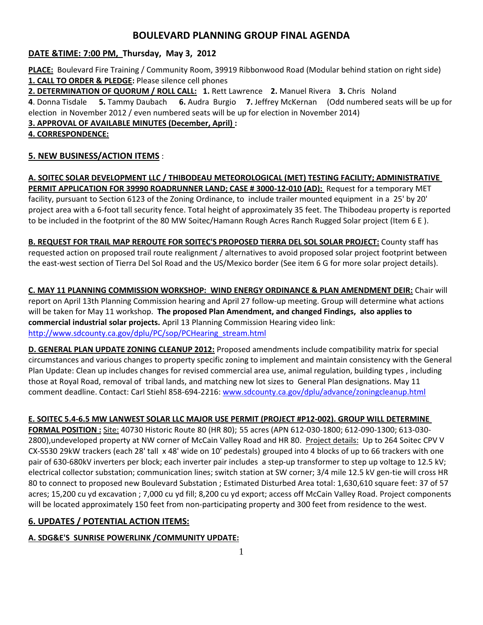# **BOULEVARD PLANNING GROUP FINAL AGENDA**

#### **DATE &TIME: 7:00 PM, Thursday, May 3, 2012**

**PLACE:** Boulevard Fire Training / Community Room, 39919 Ribbonwood Road (Modular behind station on right side) **1. CALL TO ORDER & PLEDGE:** Please silence cell phones

**2. DETERMINATION OF QUORUM / ROLL CALL: 1.** Rett Lawrence **2.** Manuel Rivera **3.** Chris Noland **4**. Donna Tisdale **5.** Tammy Daubach **6.** Audra Burgio **7.** Jeffrey McKernan (Odd numbered seats will be up for election in November 2012 / even numbered seats will be up for election in November 2014)

#### **3. APPROVAL OF AVAILABLE MINUTES (December, April) :**

#### **4. CORRESPONDENCE:**

# **5. NEW BUSINESS/ACTION ITEMS** :

**A. SOITEC SOLAR DEVELOPMENT LLC / THIBODEAU METEOROLOGICAL (MET) TESTING FACILITY; ADMINISTRATIVE PERMIT APPLICATION FOR 39990 ROADRUNNER LAND; CASE # 3000-12-010 (AD):** Request for a temporary MET facility, pursuant to Section 6123 of the Zoning Ordinance, to include trailer mounted equipment in a 25' by 20' project area with a 6-foot tall security fence. Total height of approximately 35 feet. The Thibodeau property is reported to be included in the footprint of the 80 MW Soitec/Hamann Rough Acres Ranch Rugged Solar project (Item 6 E ).

**B. REQUEST FOR TRAIL MAP REROUTE FOR SOITEC'S PROPOSED TIERRA DEL SOL SOLAR PROJECT:** County staff has requested action on proposed trail route realignment / alternatives to avoid proposed solar project footprint between the east-west section of Tierra Del Sol Road and the US/Mexico border (See item 6 G for more solar project details).

**C. MAY 11 PLANNING COMMISSION WORKSHOP: WIND ENERGY ORDINANCE & PLAN AMENDMENT DEIR:** Chair will report on April 13th Planning Commission hearing and April 27 follow-up meeting. Group will determine what actions will be taken for May 11 workshop. **The proposed Plan Amendment, and changed Findings, also applies to commercial industrial solar projects.** April 13 Planning Commission Hearing video link: [http://www.sdcounty.ca.gov/dplu/PC/sop/PCHearing\\_stream.html](http://www.sdcounty.ca.gov/dplu/PC/sop/PCHearing_stream.html)

**D. GENERAL PLAN UPDATE ZONING CLEANUP 2012:** Proposed amendments include compatibility matrix for special circumstances and various changes to property specific zoning to implement and maintain consistency with the General Plan Update: Clean up includes changes for revised commercial area use, animal regulation, building types , including those at Royal Road, removal of tribal lands, and matching new lot sizes to General Plan designations. May 11 comment deadline. Contact: Carl Stiehl 858-694-2216:<www.sdcounty.ca.gov/dplu/advance/zoningcleanup.html>

## **E. SOITEC 5.4-6.5 MW LANWEST SOLAR LLC MAJOR USE PERMIT (PROJECT #P12-002). GROUP WILL DETERMINE**

**FORMAL POSITION :** Site: 40730 Historic Route 80 (HR 80); 55 acres (APN 612-030-1800; 612-090-1300; 613-030- 2800), undeveloped property at NW corner of McCain Valley Road and HR 80. Project details: Up to 264 Soitec CPV V CX-S530 29kW trackers (each 28' tall x 48' wide on 10' pedestals) grouped into 4 blocks of up to 66 trackers with one pair of 630-680kV inverters per block; each inverter pair includes a step-up transformer to step up voltage to 12.5 kV; electrical collector substation; communication lines; switch station at SW corner; 3/4 mile 12.5 kV gen-tie will cross HR 80 to connect to proposed new Boulevard Substation ; Estimated Disturbed Area total: 1,630,610 square feet: 37 of 57 acres; 15,200 cu yd excavation ; 7,000 cu yd fill; 8,200 cu yd export; access off McCain Valley Road. Project components will be located approximately 150 feet from non-participating property and 300 feet from residence to the west.

## **6. UPDATES / POTENTIAL ACTION ITEMS:**

## **A. SDG&E'S SUNRISE POWERLINK /COMMUNITY UPDATE:**